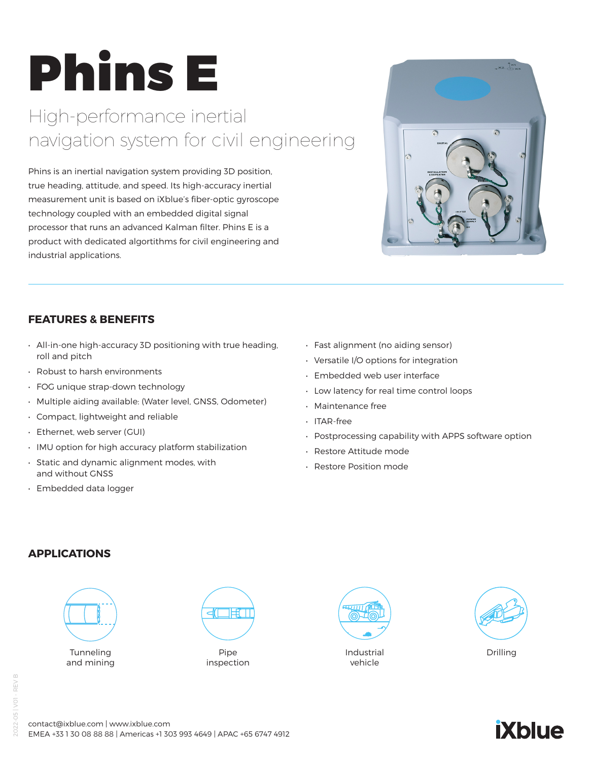# Phins E

## High-performance inertial navigation system for civil engineering

Phins is an inertial navigation system providing 3D position, true heading, attitude, and speed. Its high-accuracy inertial measurement unit is based on iXblue's fiber-optic gyroscope technology coupled with an embedded digital signal processor that runs an advanced Kalman filter. Phins E is a product with dedicated algortithms for civil engineering and industrial applications.



#### **FEATURES & BENEFITS**

- All-in-one high-accuracy 3D positioning with true heading, roll and pitch
- Robust to harsh environments
- FOG unique strap-down technology
- Multiple aiding available: (Water level, GNSS, Odometer)
- Compact, lightweight and reliable
- Ethernet, web server (GUI)
- IMU option for high accuracy platform stabilization
- Static and dynamic alignment modes, with and without GNSS
- Embedded data logger
- Fast alignment (no aiding sensor)
- Versatile I/O options for integration
- Embedded web user interface
- Low latency for real time control loops
- Maintenance free
- ITAR-free
- Postprocessing capability with APPS software option
- Restore Attitude mode
- Restore Position mode

#### **APPLICATIONS**



and mining



inspection



Industrial vehicle





contact@ixblue.com | www.ixblue.com EMEA +33 1 30 08 88 88 | Americas +1 303 993 4649 | APAC +65 6747 4912

## **iXblue**